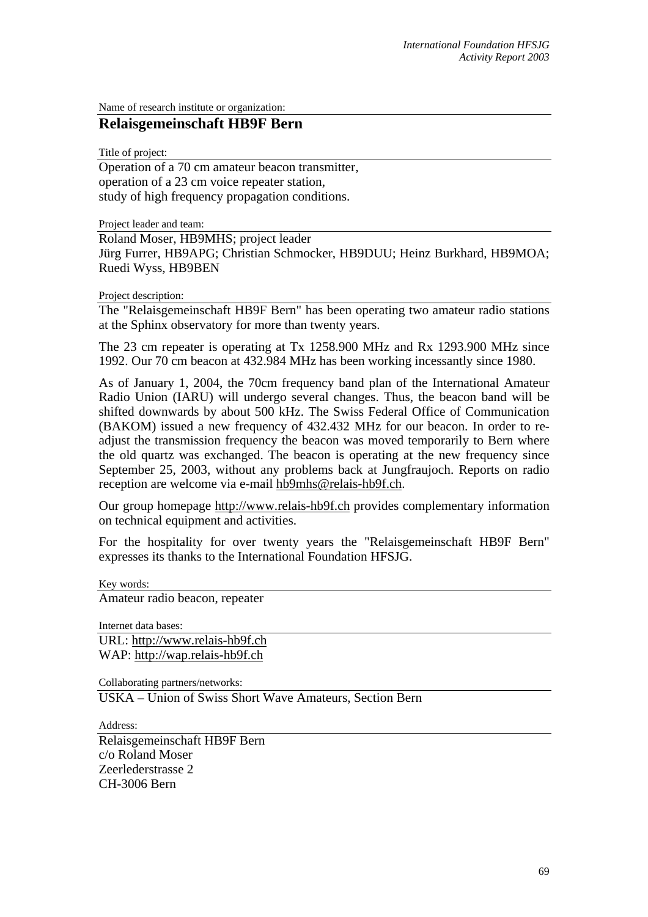Name of research institute or organization:

## **Relaisgemeinschaft HB9F Bern**

Title of project:

Operation of a 70 cm amateur beacon transmitter, operation of a 23 cm voice repeater station, study of high frequency propagation conditions.

Project leader and team:

Roland Moser, HB9MHS; project leader Jürg Furrer, HB9APG; Christian Schmocker, HB9DUU; Heinz Burkhard, HB9MOA; Ruedi Wyss, HB9BEN

Project description:

The "Relaisgemeinschaft HB9F Bern" has been operating two amateur radio stations at the Sphinx observatory for more than twenty years.

The 23 cm repeater is operating at Tx 1258.900 MHz and Rx 1293.900 MHz since 1992. Our 70 cm beacon at 432.984 MHz has been working incessantly since 1980.

As of January 1, 2004, the 70cm frequency band plan of the International Amateur Radio Union (IARU) will undergo several changes. Thus, the beacon band will be shifted downwards by about 500 kHz. The Swiss Federal Office of Communication (BAKOM) issued a new frequency of 432.432 MHz for our beacon. In order to readjust the transmission frequency the beacon was moved temporarily to Bern where the old quartz was exchanged. The beacon is operating at the new frequency since September 25, 2003, without any problems back at Jungfraujoch. Reports on radio reception are welcome via e-mail [hb9mhs@relais-hb9f.ch](mailto:hb9mhs@relais-hb9f.ch).

Our group homepage [http://www.relais-hb9f.ch](http://www.relais-hb9f.ch/) provides complementary information on technical equipment and activities.

For the hospitality for over twenty years the "Relaisgemeinschaft HB9F Bern" expresses its thanks to the International Foundation HFSJG.

Key words:

Amateur radio beacon, repeater

Internet data bases: URL: [http://www.relais-hb9f.ch](http://www.relais-hb9f.ch/) WAP: [http://wap.relais-hb9f.ch](http://wap.relais-hb9f.ch/) 

Collaborating partners/networks:

USKA – Union of Swiss Short Wave Amateurs, Section Bern

Address:

Relaisgemeinschaft HB9F Bern c/o Roland Moser Zeerlederstrasse 2 CH-3006 Bern